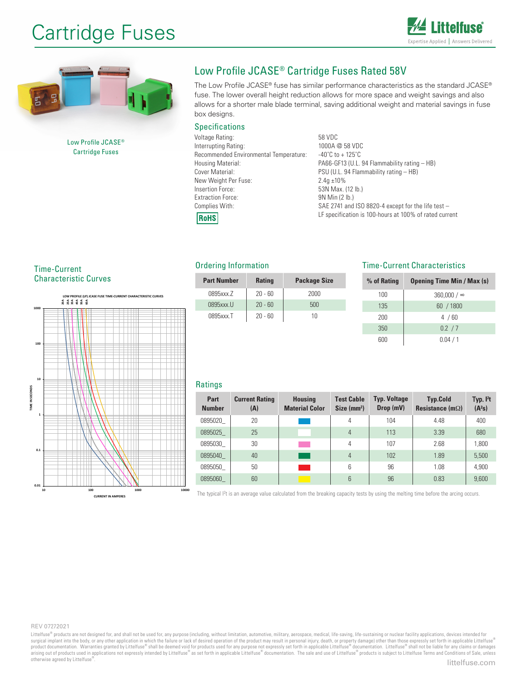# Cartridge Fuses





Low Profile JCASE® Cartridge Fuses

## Low Profile JCASE® Cartridge Fuses Rated 58V

The Low Profile JCASE® fuse has similar performance characteristics as the standard JCASE® fuse. The lower overall height reduction allows for more space and weight savings and also allows for a shorter male blade terminal, saving additional weight and material savings in fuse box designs.

### **Specifications**

| Voltage Rating:                        | 58 VDC                   |  |  |
|----------------------------------------|--------------------------|--|--|
| Interrupting Rating:                   | 1000A @ 58 \             |  |  |
| Recommended Environmental Temperature: | $-40^{\circ}$ C to + 125 |  |  |
| Housing Material:                      | PA66-GF13 (U             |  |  |
| Cover Material:                        | PSU (U.L. 94 I           |  |  |
| New Weight Per Fuse:                   | $2.4q \pm 10\%$          |  |  |
| Insertion Force:                       | 53N Max. (12             |  |  |
| <b>Extraction Force:</b>               | 9N Min (2 lb.)           |  |  |
| Complies With:                         | SAE 2741 and             |  |  |
| <b>RoHS</b>                            | LF specificatio          |  |  |
|                                        |                          |  |  |

@ 58 VDC  $o + 125$ °C  $GH3$  (U.L. 94 Flammability rating  $-HB$ )  $L. 94$  Flammability rating  $-$  HB) lax. (12 lb.) '41 and ISO 8820-4 except for the life test  $$ cification is 100-hours at 100% of rated current

Time-Current

Characteristic Curves



### Ordering Information

| <b>Part Number</b> | <b>Rating</b> | <b>Package Size</b> |
|--------------------|---------------|---------------------|
| 0895xxx.Z          | $20 - 60$     | 2000                |
| 0895xxx.U          | $20 - 60$     | 500                 |
| 0895xxx.T          | $20 - 60$     | 10                  |

### Time-Current Characteristics

| % of Rating | <b>Opening Time Min / Max (s)</b> |
|-------------|-----------------------------------|
| 100         | $360,000 / \infty$                |
| 135         | 60 / 1800                         |
| 200         | 4/60                              |
| 350         | 0.2 / 7                           |
| 600         | 0.04 / 1                          |

### Ratings

| Part<br><b>Number</b> | <b>Current Rating</b><br>(A) | <b>Housing</b><br><b>Material Color</b> | <b>Test Cable</b><br>Size (mm <sup>2</sup> ) | <b>Typ. Voltage</b><br>Drop (mV) | <b>Typ.Cold</b><br>Resistance (m $\Omega$ ) | Typ. $I2t$<br>(A <sup>2</sup> S) |
|-----------------------|------------------------------|-----------------------------------------|----------------------------------------------|----------------------------------|---------------------------------------------|----------------------------------|
| 0895020               | 20                           |                                         | 4                                            | 104                              | 4.48                                        | 400                              |
| 0895025               | 25                           |                                         | 4                                            | 113                              | 3.39                                        | 680                              |
| 0895030               | 30                           |                                         | 4                                            | 107                              | 2.68                                        | 1.800                            |
| 0895040               | 40                           |                                         | 4                                            | 102                              | 1.89                                        | 5,500                            |
| 0895050               | 50                           |                                         | 6                                            | 96                               | 1.08                                        | 4.900                            |
| 0895060               | 60                           |                                         | 6                                            | 96                               | 0.83                                        | 9,600                            |

The typical I<sup>2</sup>t is an average value calculated from the breaking capacity tests by using the melting time before the arcing occurs.

#### REV 07272021

Littelfuse® products are not designed for, and shall not be used for, any purpose (including, without limitation, automotive, military, aerospace, medical, life-saving, life-sustaining or nuclear facility applications, dev surgical implant into the body, or any other application in which the failure or lack of desired operation of the product may result in personal injury, death, or property damage) other than those expressly set forth in ap otherwise agreed by Littelfuse®